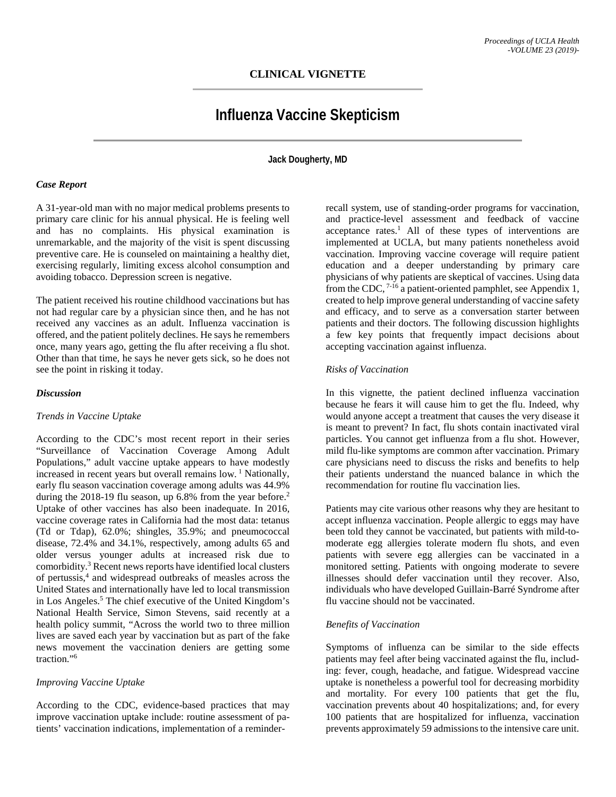# **CLINICAL VIGNETTE**

# **Influenza Vaccine Skepticism**

**Jack Dougherty, MD**

# *Case Report*

A 31-year-old man with no major medical problems presents to primary care clinic for his annual physical. He is feeling well and has no complaints. His physical examination is unremarkable, and the majority of the visit is spent discussing preventive care. He is counseled on maintaining a healthy diet, exercising regularly, limiting excess alcohol consumption and avoiding tobacco. Depression screen is negative.

The patient received his routine childhood vaccinations but has not had regular care by a physician since then, and he has not received any vaccines as an adult. Influenza vaccination is offered, and the patient politely declines. He says he remembers once, many years ago, getting the flu after receiving a flu shot. Other than that time, he says he never gets sick, so he does not see the point in risking it today.

# *Discussion*

#### *Trends in Vaccine Uptake*

According to the CDC's most recent report in their series "Surveillance of Vaccination Coverage Among Adult Populations," adult vaccine uptake appears to have modestly increased in recent years but overall remains low.<sup>1</sup> Nationally, early flu season vaccination coverage among adults was 44.9% during the 2018-19 flu season, up 6.8% from the year before.<sup>2</sup> Uptake of other vaccines has also been inadequate. In 2016, vaccine coverage rates in California had the most data: tetanus (Td or Tdap), 62.0%; shingles, 35.9%; and pneumococcal disease, 72.4% and 34.1%, respectively, among adults 65 and older versus younger adults at increased risk due to comorbidity.3 Recent news reports have identified local clusters of pertussis, <sup>4</sup> and widespread outbreaks of measles across the United States and internationally have led to local transmission in Los Angeles.5 The chief executive of the United Kingdom's National Health Service, Simon Stevens, said recently at a health policy summit, "Across the world two to three million lives are saved each year by vaccination but as part of the fake news movement the vaccination deniers are getting some traction."6

#### *Improving Vaccine Uptake*

According to the CDC, evidence-based practices that may improve vaccination uptake include: routine assessment of patients' vaccination indications, implementation of a reminder-

recall system, use of standing-order programs for vaccination, and practice-level assessment and feedback of vaccine acceptance rates.<sup>1</sup> All of these types of interventions are implemented at UCLA, but many patients nonetheless avoid vaccination. Improving vaccine coverage will require patient education and a deeper understanding by primary care physicians of why patients are skeptical of vaccines. Using data from the CDC,  $7\cdot 16$  a patient-oriented pamphlet, see Appendix 1, created to help improve general understanding of vaccine safety and efficacy, and to serve as a conversation starter between patients and their doctors. The following discussion highlights a few key points that frequently impact decisions about accepting vaccination against influenza.

# *Risks of Vaccination*

In this vignette, the patient declined influenza vaccination because he fears it will cause him to get the flu. Indeed, why would anyone accept a treatment that causes the very disease it is meant to prevent? In fact, flu shots contain inactivated viral particles. You cannot get influenza from a flu shot. However, mild flu-like symptoms are common after vaccination. Primary care physicians need to discuss the risks and benefits to help their patients understand the nuanced balance in which the recommendation for routine flu vaccination lies.

Patients may cite various other reasons why they are hesitant to accept influenza vaccination. People allergic to eggs may have been told they cannot be vaccinated, but patients with mild-tomoderate egg allergies tolerate modern flu shots, and even patients with severe egg allergies can be vaccinated in a monitored setting. Patients with ongoing moderate to severe illnesses should defer vaccination until they recover. Also, individuals who have developed Guillain-Barré Syndrome after flu vaccine should not be vaccinated.

# *Benefits of Vaccination*

Symptoms of influenza can be similar to the side effects patients may feel after being vaccinated against the flu, including: fever, cough, headache, and fatigue. Widespread vaccine uptake is nonetheless a powerful tool for decreasing morbidity and mortality. For every 100 patients that get the flu, vaccination prevents about 40 hospitalizations; and, for every 100 patients that are hospitalized for influenza, vaccination prevents approximately 59 admissions to the intensive care unit.